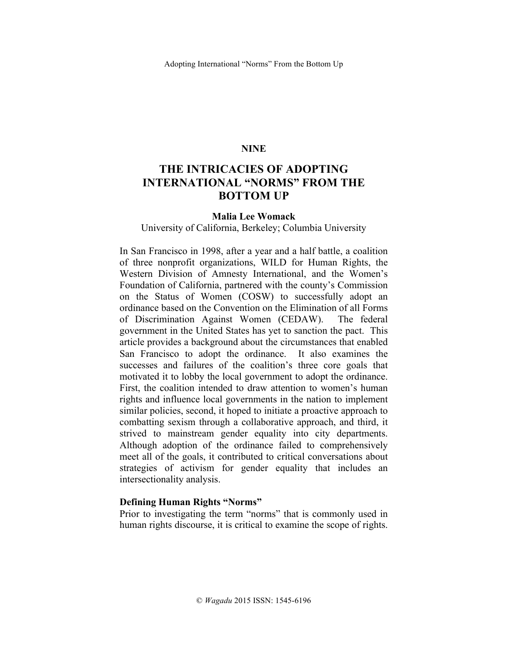### **NINE**

# **THE INTRICACIES OF ADOPTING INTERNATIONAL "NORMS" FROM THE BOTTOM UP**

#### **Malia Lee Womack**

### University of California, Berkeley; Columbia University

In San Francisco in 1998, after a year and a half battle, a coalition of three nonprofit organizations, WILD for Human Rights, the Western Division of Amnesty International, and the Women's Foundation of California, partnered with the county's Commission on the Status of Women (COSW) to successfully adopt an ordinance based on the Convention on the Elimination of all Forms of Discrimination Against Women (CEDAW). The federal government in the United States has yet to sanction the pact. This article provides a background about the circumstances that enabled San Francisco to adopt the ordinance. It also examines the successes and failures of the coalition's three core goals that motivated it to lobby the local government to adopt the ordinance. First, the coalition intended to draw attention to women's human rights and influence local governments in the nation to implement similar policies, second, it hoped to initiate a proactive approach to combatting sexism through a collaborative approach, and third, it strived to mainstream gender equality into city departments. Although adoption of the ordinance failed to comprehensively meet all of the goals, it contributed to critical conversations about strategies of activism for gender equality that includes an intersectionality analysis.

# **Defining Human Rights "Norms"**

Prior to investigating the term "norms" that is commonly used in human rights discourse, it is critical to examine the scope of rights.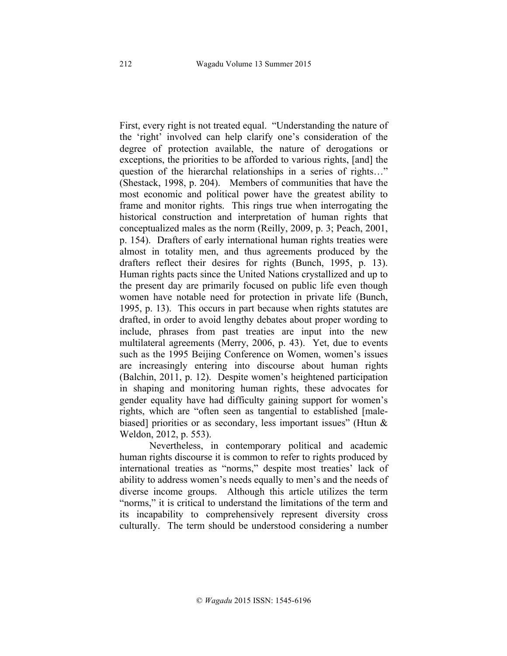First, every right is not treated equal. "Understanding the nature of the 'right' involved can help clarify one's consideration of the degree of protection available, the nature of derogations or exceptions, the priorities to be afforded to various rights, [and] the question of the hierarchal relationships in a series of rights…" (Shestack, 1998, p. 204). Members of communities that have the most economic and political power have the greatest ability to frame and monitor rights. This rings true when interrogating the historical construction and interpretation of human rights that conceptualized males as the norm (Reilly, 2009, p. 3; Peach, 2001, p. 154). Drafters of early international human rights treaties were almost in totality men, and thus agreements produced by the drafters reflect their desires for rights (Bunch, 1995, p. 13). Human rights pacts since the United Nations crystallized and up to the present day are primarily focused on public life even though women have notable need for protection in private life (Bunch, 1995, p. 13). This occurs in part because when rights statutes are drafted, in order to avoid lengthy debates about proper wording to include, phrases from past treaties are input into the new multilateral agreements (Merry, 2006, p. 43). Yet, due to events such as the 1995 Beijing Conference on Women, women's issues are increasingly entering into discourse about human rights (Balchin, 2011, p. 12). Despite women's heightened participation in shaping and monitoring human rights, these advocates for gender equality have had difficulty gaining support for women's rights, which are "often seen as tangential to established [malebiased] priorities or as secondary, less important issues" (Htun & Weldon, 2012, p. 553).

Nevertheless, in contemporary political and academic human rights discourse it is common to refer to rights produced by international treaties as "norms," despite most treaties' lack of ability to address women's needs equally to men's and the needs of diverse income groups. Although this article utilizes the term "norms," it is critical to understand the limitations of the term and its incapability to comprehensively represent diversity cross culturally. The term should be understood considering a number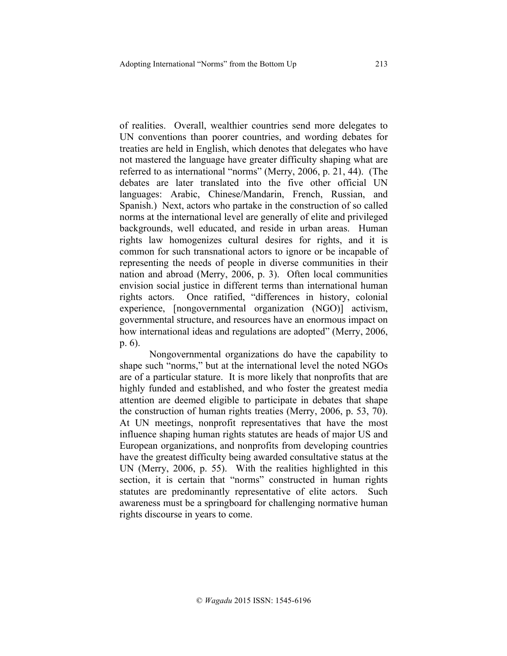of realities. Overall, wealthier countries send more delegates to UN conventions than poorer countries, and wording debates for treaties are held in English, which denotes that delegates who have not mastered the language have greater difficulty shaping what are referred to as international "norms" (Merry, 2006, p. 21, 44). (The debates are later translated into the five other official UN languages: Arabic, Chinese/Mandarin, French, Russian, and Spanish.) Next, actors who partake in the construction of so called norms at the international level are generally of elite and privileged backgrounds, well educated, and reside in urban areas. Human rights law homogenizes cultural desires for rights, and it is common for such transnational actors to ignore or be incapable of representing the needs of people in diverse communities in their nation and abroad (Merry, 2006, p. 3). Often local communities envision social justice in different terms than international human rights actors. Once ratified, "differences in history, colonial experience, [nongovernmental organization (NGO)] activism, governmental structure, and resources have an enormous impact on how international ideas and regulations are adopted" (Merry, 2006, p. 6).

Nongovernmental organizations do have the capability to shape such "norms," but at the international level the noted NGOs are of a particular stature. It is more likely that nonprofits that are highly funded and established, and who foster the greatest media attention are deemed eligible to participate in debates that shape the construction of human rights treaties (Merry, 2006, p. 53, 70). At UN meetings, nonprofit representatives that have the most influence shaping human rights statutes are heads of major US and European organizations, and nonprofits from developing countries have the greatest difficulty being awarded consultative status at the UN (Merry, 2006, p. 55). With the realities highlighted in this section, it is certain that "norms" constructed in human rights statutes are predominantly representative of elite actors. Such awareness must be a springboard for challenging normative human rights discourse in years to come.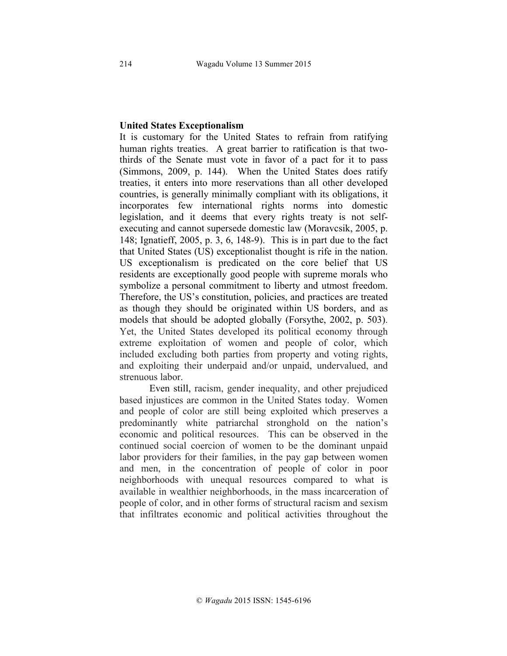### **United States Exceptionalism**

It is customary for the United States to refrain from ratifying human rights treaties. A great barrier to ratification is that twothirds of the Senate must vote in favor of a pact for it to pass (Simmons, 2009, p. 144). When the United States does ratify treaties, it enters into more reservations than all other developed countries, is generally minimally compliant with its obligations, it incorporates few international rights norms into domestic legislation, and it deems that every rights treaty is not selfexecuting and cannot supersede domestic law (Moravcsik, 2005, p. 148; Ignatieff, 2005, p. 3, 6, 148-9). This is in part due to the fact that United States (US) exceptionalist thought is rife in the nation. US exceptionalism is predicated on the core belief that US residents are exceptionally good people with supreme morals who symbolize a personal commitment to liberty and utmost freedom. Therefore, the US's constitution, policies, and practices are treated as though they should be originated within US borders, and as models that should be adopted globally (Forsythe, 2002, p. 503). Yet, the United States developed its political economy through extreme exploitation of women and people of color, which included excluding both parties from property and voting rights, and exploiting their underpaid and/or unpaid, undervalued, and strenuous labor.

Even still, racism, gender inequality, and other prejudiced based injustices are common in the United States today. Women and people of color are still being exploited which preserves a predominantly white patriarchal stronghold on the nation's economic and political resources. This can be observed in the continued social coercion of women to be the dominant unpaid labor providers for their families, in the pay gap between women and men, in the concentration of people of color in poor neighborhoods with unequal resources compared to what is available in wealthier neighborhoods, in the mass incarceration of people of color, and in other forms of structural racism and sexism that infiltrates economic and political activities throughout the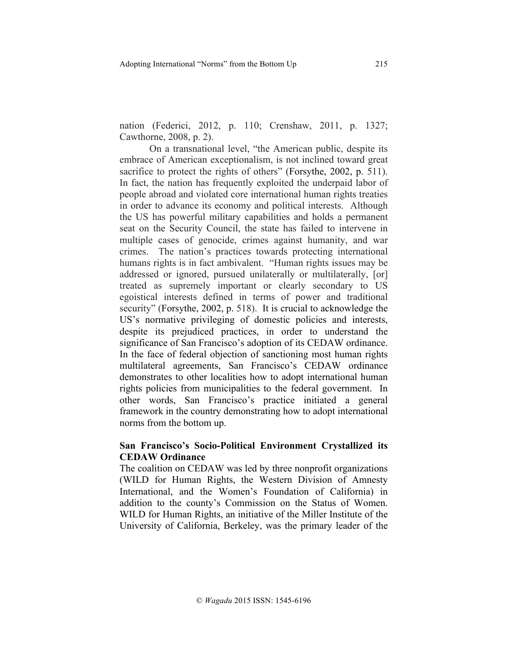nation (Federici, 2012, p. 110; Crenshaw, 2011, p. 1327; Cawthorne, 2008, p. 2).

On a transnational level, "the American public, despite its embrace of American exceptionalism, is not inclined toward great sacrifice to protect the rights of others" (Forsythe, 2002, p. 511). In fact, the nation has frequently exploited the underpaid labor of people abroad and violated core international human rights treaties in order to advance its economy and political interests. Although the US has powerful military capabilities and holds a permanent seat on the Security Council, the state has failed to intervene in multiple cases of genocide, crimes against humanity, and war crimes. The nation's practices towards protecting international humans rights is in fact ambivalent. "Human rights issues may be addressed or ignored, pursued unilaterally or multilaterally, [or] treated as supremely important or clearly secondary to US egoistical interests defined in terms of power and traditional security" (Forsythe, 2002, p. 518). It is crucial to acknowledge the US's normative privileging of domestic policies and interests, despite its prejudiced practices, in order to understand the significance of San Francisco's adoption of its CEDAW ordinance. In the face of federal objection of sanctioning most human rights multilateral agreements, San Francisco's CEDAW ordinance demonstrates to other localities how to adopt international human rights policies from municipalities to the federal government. In other words, San Francisco's practice initiated a general framework in the country demonstrating how to adopt international norms from the bottom up.

# **San Francisco's Socio-Political Environment Crystallized its CEDAW Ordinance**

The coalition on CEDAW was led by three nonprofit organizations (WILD for Human Rights, the Western Division of Amnesty International, and the Women's Foundation of California) in addition to the county's Commission on the Status of Women. WILD for Human Rights, an initiative of the Miller Institute of the University of California, Berkeley, was the primary leader of the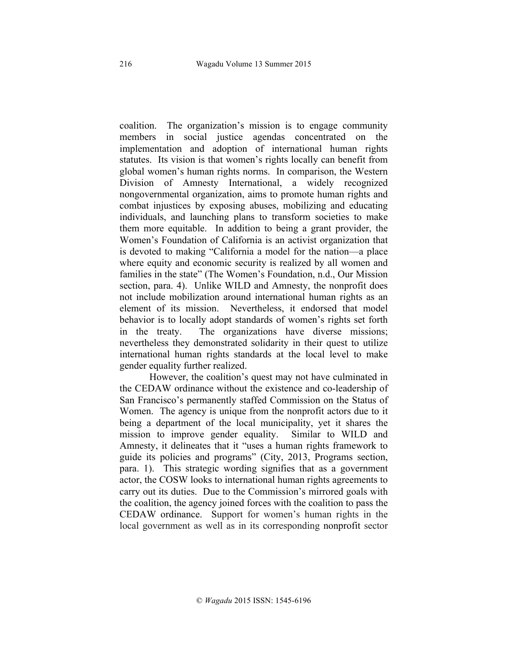coalition. The organization's mission is to engage community members in social justice agendas concentrated on the implementation and adoption of international human rights statutes. Its vision is that women's rights locally can benefit from global women's human rights norms. In comparison, the Western Division of Amnesty International, a widely recognized nongovernmental organization, aims to promote human rights and combat injustices by exposing abuses, mobilizing and educating individuals, and launching plans to transform societies to make them more equitable. In addition to being a grant provider, the Women's Foundation of California is an activist organization that is devoted to making "California a model for the nation—a place where equity and economic security is realized by all women and families in the state" (The Women's Foundation, n.d., Our Mission section, para. 4). Unlike WILD and Amnesty, the nonprofit does not include mobilization around international human rights as an element of its mission. Nevertheless, it endorsed that model behavior is to locally adopt standards of women's rights set forth in the treaty. The organizations have diverse missions; nevertheless they demonstrated solidarity in their quest to utilize international human rights standards at the local level to make gender equality further realized.

However, the coalition's quest may not have culminated in the CEDAW ordinance without the existence and co-leadership of San Francisco's permanently staffed Commission on the Status of Women. The agency is unique from the nonprofit actors due to it being a department of the local municipality, yet it shares the mission to improve gender equality. Similar to WILD and Amnesty, it delineates that it "uses a human rights framework to guide its policies and programs" (City, 2013, Programs section, para. 1). This strategic wording signifies that as a government actor, the COSW looks to international human rights agreements to carry out its duties. Due to the Commission's mirrored goals with the coalition, the agency joined forces with the coalition to pass the CEDAW ordinance. Support for women's human rights in the local government as well as in its corresponding nonprofit sector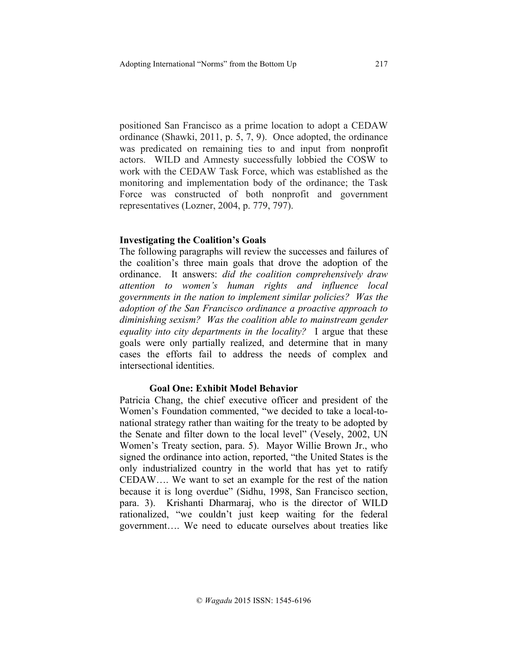positioned San Francisco as a prime location to adopt a CEDAW ordinance (Shawki, 2011, p. 5, 7, 9). Once adopted, the ordinance was predicated on remaining ties to and input from nonprofit actors. WILD and Amnesty successfully lobbied the COSW to work with the CEDAW Task Force, which was established as the monitoring and implementation body of the ordinance; the Task Force was constructed of both nonprofit and government representatives (Lozner, 2004, p. 779, 797).

#### **Investigating the Coalition's Goals**

The following paragraphs will review the successes and failures of the coalition's three main goals that drove the adoption of the ordinance. It answers: *did the coalition comprehensively draw attention to women's human rights and influence local governments in the nation to implement similar policies? Was the adoption of the San Francisco ordinance a proactive approach to diminishing sexism? Was the coalition able to mainstream gender equality into city departments in the locality?* I argue that these goals were only partially realized, and determine that in many cases the efforts fail to address the needs of complex and intersectional identities.

# **Goal One: Exhibit Model Behavior**

Patricia Chang, the chief executive officer and president of the Women's Foundation commented, "we decided to take a local-tonational strategy rather than waiting for the treaty to be adopted by the Senate and filter down to the local level" (Vesely, 2002, UN Women's Treaty section, para. 5). Mayor Willie Brown Jr., who signed the ordinance into action, reported, "the United States is the only industrialized country in the world that has yet to ratify CEDAW…. We want to set an example for the rest of the nation because it is long overdue" (Sidhu, 1998, San Francisco section, para. 3). Krishanti Dharmaraj, who is the director of WILD rationalized, "we couldn't just keep waiting for the federal government…. We need to educate ourselves about treaties like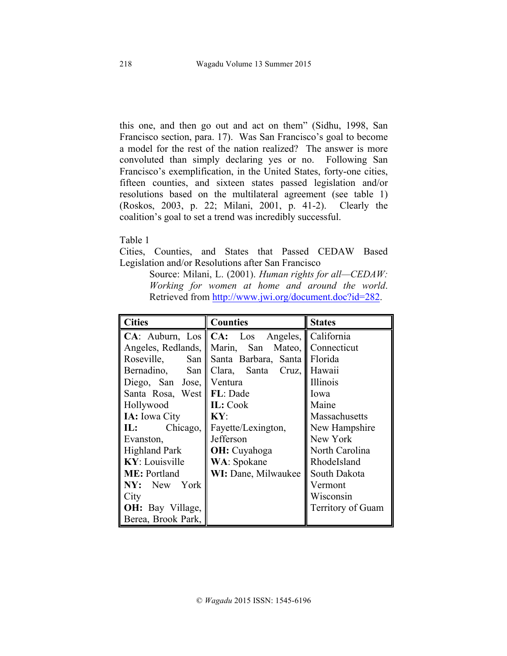this one, and then go out and act on them" (Sidhu, 1998, San Francisco section, para. 17). Was San Francisco's goal to become a model for the rest of the nation realized? The answer is more convoluted than simply declaring yes or no. Following San Francisco's exemplification, in the United States, forty-one cities, fifteen counties, and sixteen states passed legislation and/or resolutions based on the multilateral agreement (see table 1) (Roskos, 2003, p. 22; Milani, 2001, p. 41-2). Clearly the coalition's goal to set a trend was incredibly successful.

Table 1

Cities, Counties, and States that Passed CEDAW Based Legislation and/or Resolutions after San Francisco

> Source: Milani, L. (2001). *Human rights for all—CEDAW: Working for women at home and around the world*. Retrieved from http://www.jwi.org/document.doc?id=282.

| <b>Cities</b>             | <b>Counties</b>                                  | <b>States</b>        |
|---------------------------|--------------------------------------------------|----------------------|
|                           | CA: Auburn, Los CA: Los Angeles, California      |                      |
|                           | Angeles, Redlands, Marin, San Mateo, Connecticut |                      |
| Roseville,                | San    Santa Barbara, Santa    Florida           |                      |
|                           | Bernadino, San    Clara, Santa Cruz,             | Hawaii               |
| Diego, San Jose, Ventura  |                                                  | Illinois             |
| Santa Rosa, West FL: Dade |                                                  | Iowa                 |
| Hollywood                 | <b>IL:</b> Cook                                  | Maine                |
| IA: Iowa City             | KY:                                              | <b>Massachusetts</b> |
| <b>IL:</b><br>Chicago,    | Fayette/Lexington,                               | New Hampshire        |
| Evanston,                 | Jefferson                                        | New York             |
| <b>Highland Park</b>      | <b>OH</b> : Cuyahoga                             | North Carolina       |
| KY: Louisville            | WA: Spokane                                      | RhodeIsland          |
| <b>ME</b> : Portland      | WI: Dane, Milwaukee                              | South Dakota         |
| NY: New York              |                                                  | Vermont              |
| City                      |                                                  | Wisconsin            |
| OH: Bay Village,          |                                                  | Territory of Guam    |
| Berea, Brook Park,        |                                                  |                      |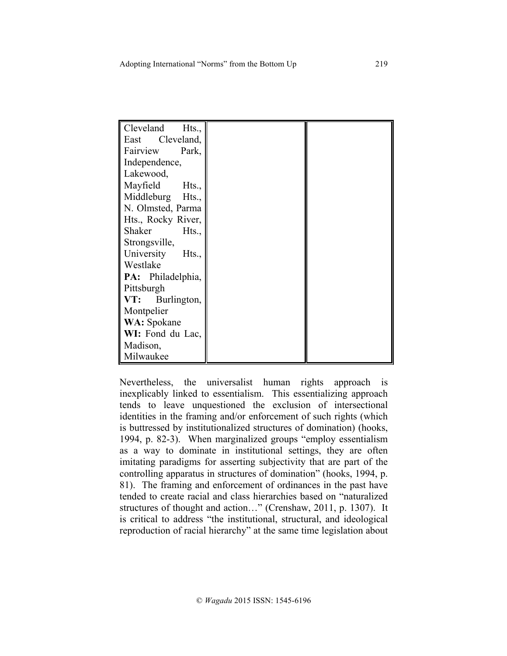| Cleveland<br>Hts., |
|--------------------|
| East Cleveland,    |
| Park,<br>Fairview  |
| Independence,      |
| Lakewood,          |
| Mayfield<br>Hts.,  |
| Middleburg Hts.,   |
| N. Olmsted, Parma  |
| Hts., Rocky River, |
| Shaker<br>Hts.,    |
| Strongsville,      |
| University Hts.,   |
| Westlake           |
| PA: Philadelphia,  |
| Pittsburgh         |
| VT: Burlington,    |
| Montpelier         |
| <b>WA:</b> Spokane |
| WI: Fond du Lac,   |
| Madison,           |
| Milwaukee          |

Nevertheless, the universalist human rights approach is inexplicably linked to essentialism. This essentializing approach tends to leave unquestioned the exclusion of intersectional identities in the framing and/or enforcement of such rights (which is buttressed by institutionalized structures of domination) (hooks, 1994, p. 82-3). When marginalized groups "employ essentialism as a way to dominate in institutional settings, they are often imitating paradigms for asserting subjectivity that are part of the controlling apparatus in structures of domination" (hooks, 1994, p. 81). The framing and enforcement of ordinances in the past have tended to create racial and class hierarchies based on "naturalized structures of thought and action…" (Crenshaw, 2011, p. 1307). It is critical to address "the institutional, structural, and ideological reproduction of racial hierarchy" at the same time legislation about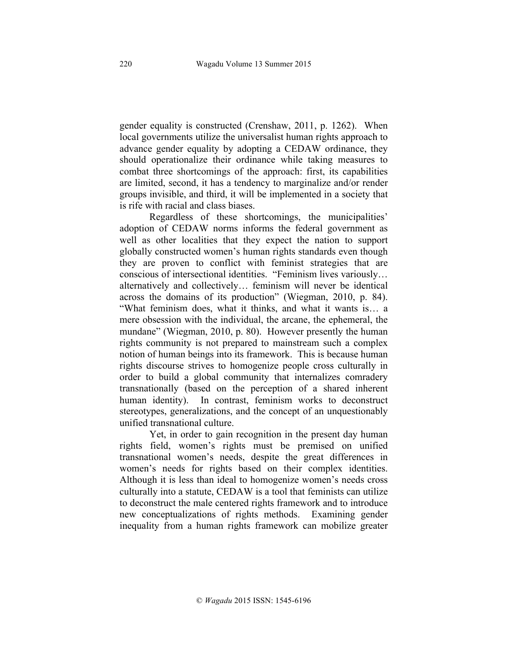gender equality is constructed (Crenshaw, 2011, p. 1262). When local governments utilize the universalist human rights approach to advance gender equality by adopting a CEDAW ordinance, they should operationalize their ordinance while taking measures to combat three shortcomings of the approach: first, its capabilities are limited, second, it has a tendency to marginalize and/or render groups invisible, and third, it will be implemented in a society that is rife with racial and class biases.

Regardless of these shortcomings, the municipalities' adoption of CEDAW norms informs the federal government as well as other localities that they expect the nation to support globally constructed women's human rights standards even though they are proven to conflict with feminist strategies that are conscious of intersectional identities. "Feminism lives variously… alternatively and collectively… feminism will never be identical across the domains of its production" (Wiegman, 2010, p. 84). "What feminism does, what it thinks, and what it wants is… a mere obsession with the individual, the arcane, the ephemeral, the mundane" (Wiegman, 2010, p. 80). However presently the human rights community is not prepared to mainstream such a complex notion of human beings into its framework. This is because human rights discourse strives to homogenize people cross culturally in order to build a global community that internalizes comradery transnationally (based on the perception of a shared inherent human identity). In contrast, feminism works to deconstruct stereotypes, generalizations, and the concept of an unquestionably unified transnational culture.

Yet, in order to gain recognition in the present day human rights field, women's rights must be premised on unified transnational women's needs, despite the great differences in women's needs for rights based on their complex identities. Although it is less than ideal to homogenize women's needs cross culturally into a statute, CEDAW is a tool that feminists can utilize to deconstruct the male centered rights framework and to introduce new conceptualizations of rights methods. Examining gender inequality from a human rights framework can mobilize greater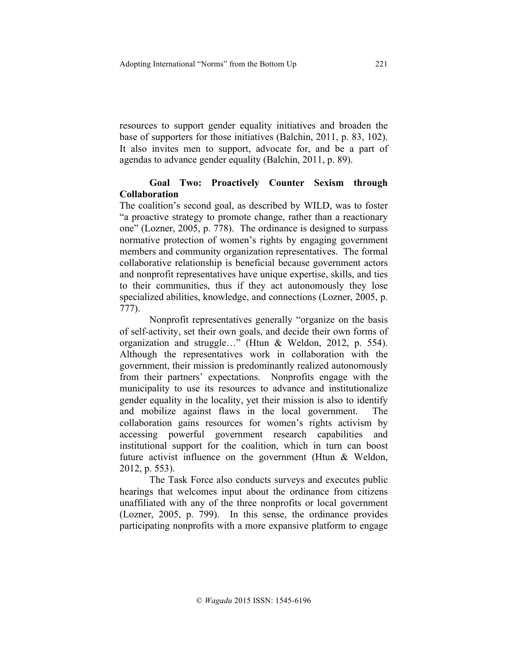resources to support gender equality initiatives and broaden the base of supporters for those initiatives (Balchin, 2011, p. 83, 102). It also invites men to support, advocate for, and be a part of agendas to advance gender equality (Balchin, 2011, p. 89).

# **Goal Two: Proactively Counter Sexism through Collaboration**

The coalition's second goal, as described by WILD, was to foster "a proactive strategy to promote change, rather than a reactionary one" (Lozner, 2005, p. 778). The ordinance is designed to surpass normative protection of women's rights by engaging government members and community organization representatives. The formal collaborative relationship is beneficial because government actors and nonprofit representatives have unique expertise, skills, and ties to their communities, thus if they act autonomously they lose specialized abilities, knowledge, and connections (Lozner, 2005, p. 777).

Nonprofit representatives generally "organize on the basis of self-activity, set their own goals, and decide their own forms of organization and struggle…" (Htun & Weldon, 2012, p. 554). Although the representatives work in collaboration with the government, their mission is predominantly realized autonomously from their partners' expectations. Nonprofits engage with the municipality to use its resources to advance and institutionalize gender equality in the locality, yet their mission is also to identify and mobilize against flaws in the local government. The collaboration gains resources for women's rights activism by accessing powerful government research capabilities and institutional support for the coalition, which in turn can boost future activist influence on the government (Htun & Weldon, 2012, p. 553).

The Task Force also conducts surveys and executes public hearings that welcomes input about the ordinance from citizens unaffiliated with any of the three nonprofits or local government (Lozner, 2005, p. 799). In this sense, the ordinance provides participating nonprofits with a more expansive platform to engage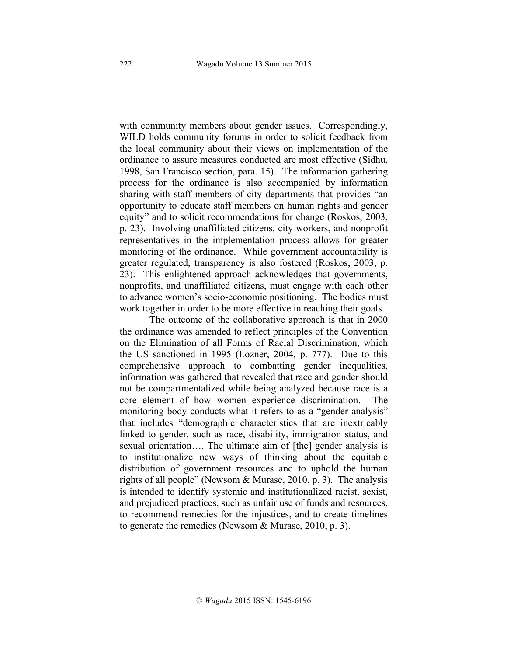with community members about gender issues. Correspondingly, WILD holds community forums in order to solicit feedback from the local community about their views on implementation of the ordinance to assure measures conducted are most effective (Sidhu, 1998, San Francisco section, para. 15). The information gathering process for the ordinance is also accompanied by information sharing with staff members of city departments that provides "an opportunity to educate staff members on human rights and gender equity" and to solicit recommendations for change (Roskos, 2003, p. 23). Involving unaffiliated citizens, city workers, and nonprofit representatives in the implementation process allows for greater monitoring of the ordinance. While government accountability is greater regulated, transparency is also fostered (Roskos, 2003, p. 23). This enlightened approach acknowledges that governments, nonprofits, and unaffiliated citizens, must engage with each other to advance women's socio-economic positioning. The bodies must work together in order to be more effective in reaching their goals.

The outcome of the collaborative approach is that in 2000 the ordinance was amended to reflect principles of the Convention on the Elimination of all Forms of Racial Discrimination, which the US sanctioned in 1995 (Lozner, 2004, p. 777). Due to this comprehensive approach to combatting gender inequalities, information was gathered that revealed that race and gender should not be compartmentalized while being analyzed because race is a core element of how women experience discrimination. The monitoring body conducts what it refers to as a "gender analysis" that includes "demographic characteristics that are inextricably linked to gender, such as race, disability, immigration status, and sexual orientation…. The ultimate aim of [the] gender analysis is to institutionalize new ways of thinking about the equitable distribution of government resources and to uphold the human rights of all people" (Newsom  $&$  Murase, 2010, p. 3). The analysis is intended to identify systemic and institutionalized racist, sexist, and prejudiced practices, such as unfair use of funds and resources, to recommend remedies for the injustices, and to create timelines to generate the remedies (Newsom & Murase, 2010, p. 3).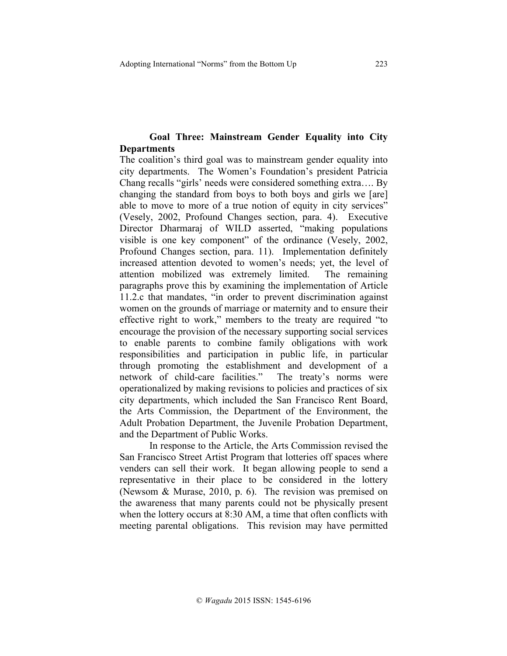# **Goal Three: Mainstream Gender Equality into City Departments**

The coalition's third goal was to mainstream gender equality into city departments. The Women's Foundation's president Patricia Chang recalls "girls' needs were considered something extra…. By changing the standard from boys to both boys and girls we [are] able to move to more of a true notion of equity in city services" (Vesely, 2002, Profound Changes section, para. 4). Executive Director Dharmaraj of WILD asserted, "making populations visible is one key component" of the ordinance (Vesely, 2002, Profound Changes section, para. 11). Implementation definitely increased attention devoted to women's needs; yet, the level of attention mobilized was extremely limited. The remaining paragraphs prove this by examining the implementation of Article 11.2.c that mandates, "in order to prevent discrimination against women on the grounds of marriage or maternity and to ensure their effective right to work," members to the treaty are required "to encourage the provision of the necessary supporting social services to enable parents to combine family obligations with work responsibilities and participation in public life, in particular through promoting the establishment and development of a network of child-care facilities." The treaty's norms were operationalized by making revisions to policies and practices of six city departments, which included the San Francisco Rent Board, the Arts Commission, the Department of the Environment, the Adult Probation Department, the Juvenile Probation Department, and the Department of Public Works.

In response to the Article, the Arts Commission revised the San Francisco Street Artist Program that lotteries off spaces where venders can sell their work. It began allowing people to send a representative in their place to be considered in the lottery (Newsom & Murase, 2010, p. 6). The revision was premised on the awareness that many parents could not be physically present when the lottery occurs at 8:30 AM, a time that often conflicts with meeting parental obligations. This revision may have permitted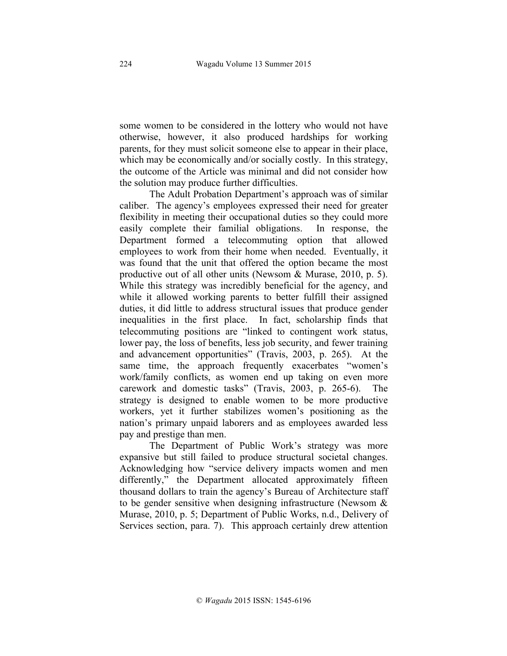some women to be considered in the lottery who would not have otherwise, however, it also produced hardships for working parents, for they must solicit someone else to appear in their place, which may be economically and/or socially costly. In this strategy, the outcome of the Article was minimal and did not consider how the solution may produce further difficulties.

The Adult Probation Department's approach was of similar caliber. The agency's employees expressed their need for greater flexibility in meeting their occupational duties so they could more easily complete their familial obligations. In response, the Department formed a telecommuting option that allowed employees to work from their home when needed. Eventually, it was found that the unit that offered the option became the most productive out of all other units (Newsom & Murase, 2010, p. 5). While this strategy was incredibly beneficial for the agency, and while it allowed working parents to better fulfill their assigned duties, it did little to address structural issues that produce gender inequalities in the first place. In fact, scholarship finds that telecommuting positions are "linked to contingent work status, lower pay, the loss of benefits, less job security, and fewer training and advancement opportunities" (Travis, 2003, p. 265). At the same time, the approach frequently exacerbates "women's work/family conflicts, as women end up taking on even more carework and domestic tasks" (Travis, 2003, p. 265-6). The strategy is designed to enable women to be more productive workers, yet it further stabilizes women's positioning as the nation's primary unpaid laborers and as employees awarded less pay and prestige than men.

The Department of Public Work's strategy was more expansive but still failed to produce structural societal changes. Acknowledging how "service delivery impacts women and men differently," the Department allocated approximately fifteen thousand dollars to train the agency's Bureau of Architecture staff to be gender sensitive when designing infrastructure (Newsom  $\&$ Murase, 2010, p. 5; Department of Public Works, n.d., Delivery of Services section, para. 7). This approach certainly drew attention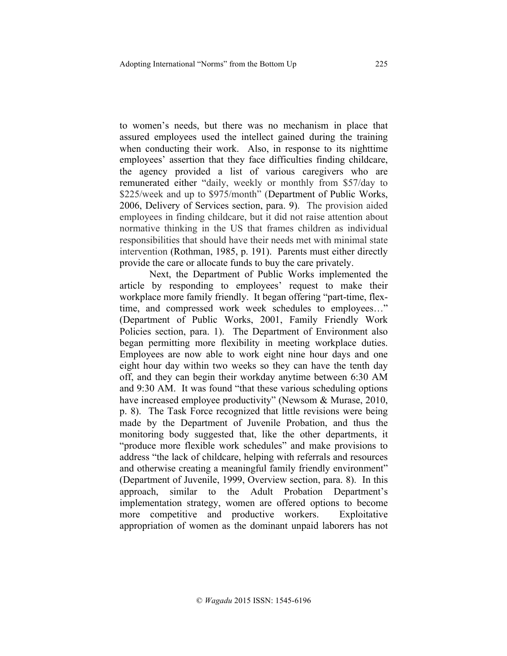to women's needs, but there was no mechanism in place that assured employees used the intellect gained during the training when conducting their work. Also, in response to its nighttime employees' assertion that they face difficulties finding childcare, the agency provided a list of various caregivers who are remunerated either "daily, weekly or monthly from \$57/day to \$225/week and up to \$975/month" (Department of Public Works, 2006, Delivery of Services section, para. 9). The provision aided employees in finding childcare, but it did not raise attention about normative thinking in the US that frames children as individual responsibilities that should have their needs met with minimal state intervention (Rothman, 1985, p. 191). Parents must either directly provide the care or allocate funds to buy the care privately.

Next, the Department of Public Works implemented the article by responding to employees' request to make their workplace more family friendly. It began offering "part-time, flextime, and compressed work week schedules to employees…" (Department of Public Works, 2001, Family Friendly Work Policies section, para. 1). The Department of Environment also began permitting more flexibility in meeting workplace duties. Employees are now able to work eight nine hour days and one eight hour day within two weeks so they can have the tenth day off, and they can begin their workday anytime between 6:30 AM and 9:30 AM. It was found "that these various scheduling options have increased employee productivity" (Newsom & Murase, 2010, p. 8). The Task Force recognized that little revisions were being made by the Department of Juvenile Probation, and thus the monitoring body suggested that, like the other departments, it "produce more flexible work schedules" and make provisions to address "the lack of childcare, helping with referrals and resources and otherwise creating a meaningful family friendly environment" (Department of Juvenile, 1999, Overview section, para. 8). In this approach, similar to the Adult Probation Department's implementation strategy, women are offered options to become more competitive and productive workers. Exploitative appropriation of women as the dominant unpaid laborers has not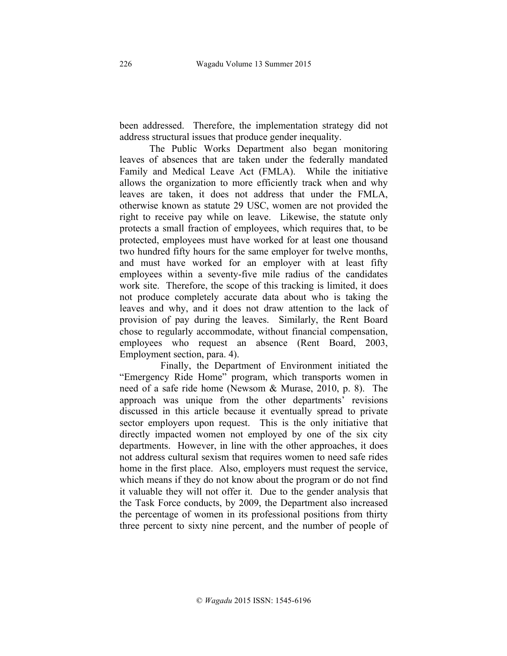been addressed. Therefore, the implementation strategy did not address structural issues that produce gender inequality.

The Public Works Department also began monitoring leaves of absences that are taken under the federally mandated Family and Medical Leave Act (FMLA). While the initiative allows the organization to more efficiently track when and why leaves are taken, it does not address that under the FMLA, otherwise known as statute 29 USC, women are not provided the right to receive pay while on leave. Likewise, the statute only protects a small fraction of employees, which requires that, to be protected, employees must have worked for at least one thousand two hundred fifty hours for the same employer for twelve months, and must have worked for an employer with at least fifty employees within a seventy-five mile radius of the candidates work site. Therefore, the scope of this tracking is limited, it does not produce completely accurate data about who is taking the leaves and why, and it does not draw attention to the lack of provision of pay during the leaves. Similarly, the Rent Board chose to regularly accommodate, without financial compensation, employees who request an absence (Rent Board, 2003, Employment section, para. 4).

Finally, the Department of Environment initiated the "Emergency Ride Home" program, which transports women in need of a safe ride home (Newsom & Murase, 2010, p. 8). The approach was unique from the other departments' revisions discussed in this article because it eventually spread to private sector employers upon request. This is the only initiative that directly impacted women not employed by one of the six city departments. However, in line with the other approaches, it does not address cultural sexism that requires women to need safe rides home in the first place. Also, employers must request the service, which means if they do not know about the program or do not find it valuable they will not offer it. Due to the gender analysis that the Task Force conducts, by 2009, the Department also increased the percentage of women in its professional positions from thirty three percent to sixty nine percent, and the number of people of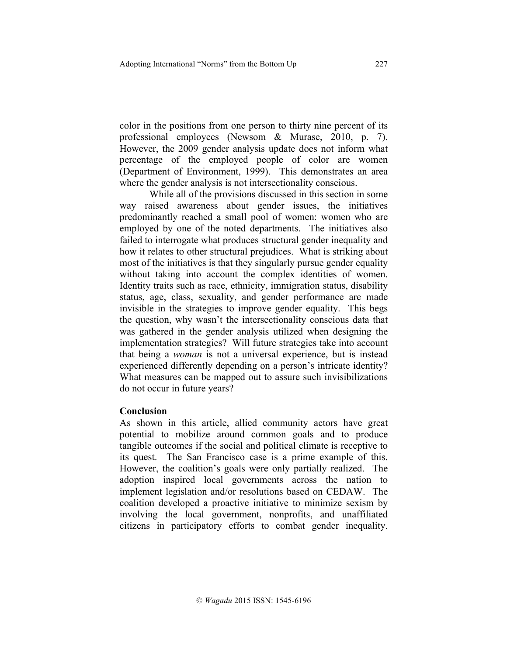color in the positions from one person to thirty nine percent of its professional employees (Newsom & Murase, 2010, p. 7). However, the 2009 gender analysis update does not inform what percentage of the employed people of color are women (Department of Environment, 1999). This demonstrates an area where the gender analysis is not intersectionality conscious.

While all of the provisions discussed in this section in some way raised awareness about gender issues, the initiatives predominantly reached a small pool of women: women who are employed by one of the noted departments. The initiatives also failed to interrogate what produces structural gender inequality and how it relates to other structural prejudices. What is striking about most of the initiatives is that they singularly pursue gender equality without taking into account the complex identities of women. Identity traits such as race, ethnicity, immigration status, disability status, age, class, sexuality, and gender performance are made invisible in the strategies to improve gender equality. This begs the question, why wasn't the intersectionality conscious data that was gathered in the gender analysis utilized when designing the implementation strategies? Will future strategies take into account that being a *woman* is not a universal experience, but is instead experienced differently depending on a person's intricate identity? What measures can be mapped out to assure such invisibilizations do not occur in future years?

# **Conclusion**

As shown in this article, allied community actors have great potential to mobilize around common goals and to produce tangible outcomes if the social and political climate is receptive to its quest. The San Francisco case is a prime example of this. However, the coalition's goals were only partially realized. The adoption inspired local governments across the nation to implement legislation and/or resolutions based on CEDAW. The coalition developed a proactive initiative to minimize sexism by involving the local government, nonprofits, and unaffiliated citizens in participatory efforts to combat gender inequality.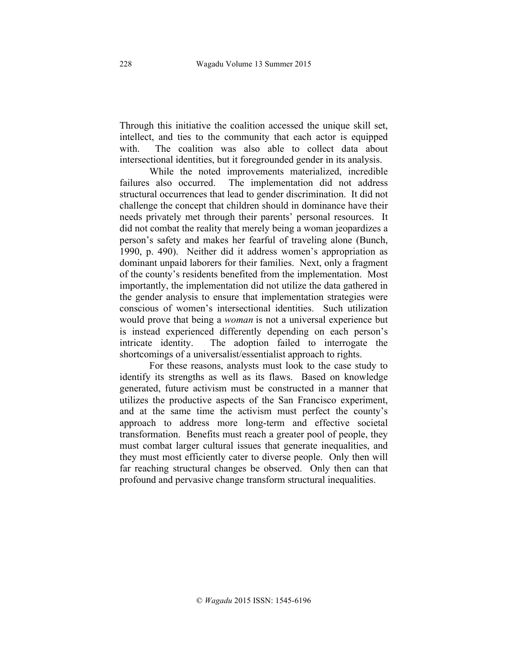Through this initiative the coalition accessed the unique skill set, intellect, and ties to the community that each actor is equipped with. The coalition was also able to collect data about intersectional identities, but it foregrounded gender in its analysis.

While the noted improvements materialized, incredible failures also occurred. The implementation did not address structural occurrences that lead to gender discrimination. It did not challenge the concept that children should in dominance have their needs privately met through their parents' personal resources. It did not combat the reality that merely being a woman jeopardizes a person's safety and makes her fearful of traveling alone (Bunch, 1990, p. 490). Neither did it address women's appropriation as dominant unpaid laborers for their families. Next, only a fragment of the county's residents benefited from the implementation. Most importantly, the implementation did not utilize the data gathered in the gender analysis to ensure that implementation strategies were conscious of women's intersectional identities. Such utilization would prove that being a *woman* is not a universal experience but is instead experienced differently depending on each person's intricate identity. The adoption failed to interrogate the shortcomings of a universalist/essentialist approach to rights.

For these reasons, analysts must look to the case study to identify its strengths as well as its flaws. Based on knowledge generated, future activism must be constructed in a manner that utilizes the productive aspects of the San Francisco experiment, and at the same time the activism must perfect the county's approach to address more long-term and effective societal transformation. Benefits must reach a greater pool of people, they must combat larger cultural issues that generate inequalities, and they must most efficiently cater to diverse people. Only then will far reaching structural changes be observed. Only then can that profound and pervasive change transform structural inequalities.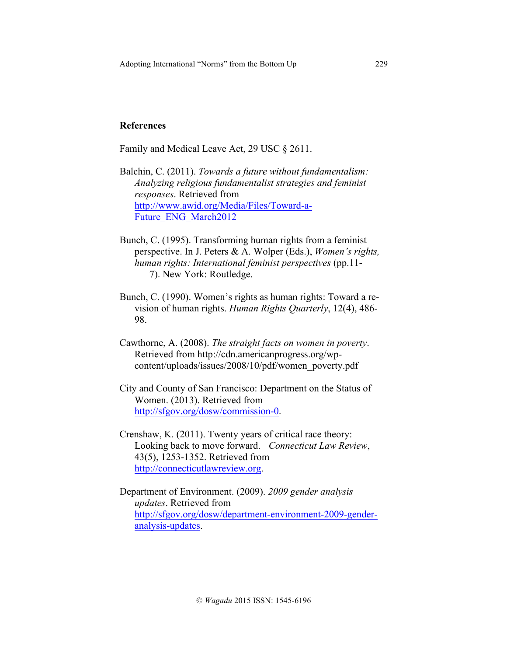# **References**

Family and Medical Leave Act, 29 USC § 2611.

- Balchin, C. (2011). *Towards a future without fundamentalism: Analyzing religious fundamentalist strategies and feminist responses*. Retrieved from http://www.awid.org/Media/Files/Toward-a-Future\_ENG\_March2012
- Bunch, C. (1995). Transforming human rights from a feminist perspective. In J. Peters & A. Wolper (Eds.), *Women's rights, human rights: International feminist perspectives* (pp.11- 7). New York: Routledge.
- Bunch, C. (1990). Women's rights as human rights: Toward a revision of human rights. *Human Rights Quarterly*, 12(4), 486- 98.
- Cawthorne, A. (2008). *The straight facts on women in poverty*. Retrieved from http://cdn.americanprogress.org/wpcontent/uploads/issues/2008/10/pdf/women\_poverty.pdf
- City and County of San Francisco: Department on the Status of Women. (2013). Retrieved from http://sfgov.org/dosw/commission-0.
- Crenshaw, K. (2011). Twenty years of critical race theory: Looking back to move forward. *Connecticut Law Review*, 43(5), 1253-1352. Retrieved from http://connecticutlawreview.org.

Department of Environment. (2009). *2009 gender analysis updates*. Retrieved from http://sfgov.org/dosw/department-environment-2009-genderanalysis-updates.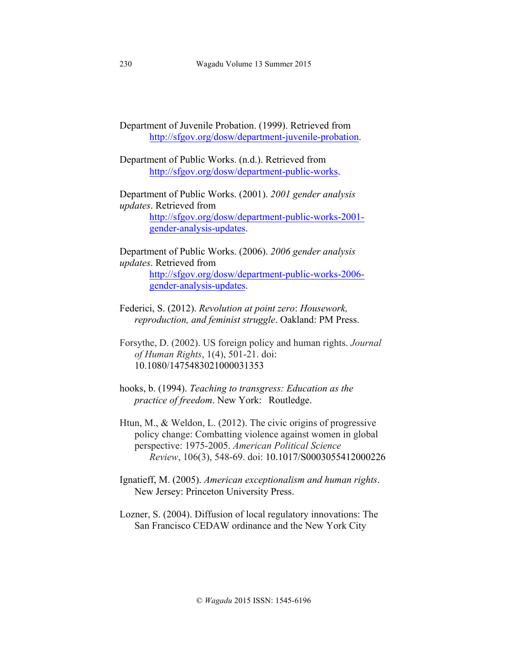Department of Juvenile Probation. (1999). Retrieved from http://sfgov.org/dosw/department-juvenile-probation.

Department of Public Works. (n.d.). Retrieved from http://sfgov.org/dosw/department-public-works.

Department of Public Works. (2001). *2001 gender analysis updates*. Retrieved from http://sfgov.org/dosw/department-public-works-2001 gender-analysis-updates.

Department of Public Works. (2006). *2006 gender analysis updates*. Retrieved from http://sfgov.org/dosw/department-public-works-2006 gender-analysis-updates.

Federici, S. (2012). *Revolution at point zero*: *Housework, reproduction, and feminist struggle*. Oakland: PM Press.

Forsythe, D. (2002). US foreign policy and human rights. *Journal of Human Rights*, 1(4), 501-21. doi: 10.1080/1475483021000031353

hooks, b. (1994). *Teaching to transgress: Education as the practice of freedom*. New York: Routledge.

Htun, M., & Weldon, L. (2012). The civic origins of progressive policy change: Combatting violence against women in global perspective: 1975-2005. *American Political Science Review*, 106(3), 548-69. doi: 10.1017/S0003055412000226

Ignatieff, M. (2005). *American exceptionalism and human rights*. New Jersey: Princeton University Press.

Lozner, S. (2004). Diffusion of local regulatory innovations: The San Francisco CEDAW ordinance and the New York City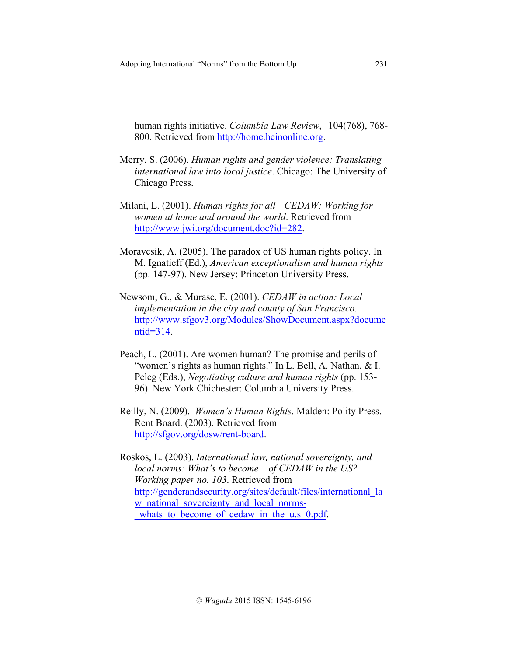human rights initiative. *Columbia Law Review*, 104(768), 768- 800. Retrieved from http://home.heinonline.org.

- Merry, S. (2006). *Human rights and gender violence: Translating international law into local justice*. Chicago: The University of Chicago Press.
- Milani, L. (2001). *Human rights for all—CEDAW: Working for women at home and around the world*. Retrieved from http://www.jwi.org/document.doc?id=282.
- Moravcsik, A. (2005). The paradox of US human rights policy. In M. Ignatieff (Ed.), *American exceptionalism and human rights* (pp. 147-97). New Jersey: Princeton University Press.
- Newsom, G., & Murase, E. (2001). *CEDAW in action: Local implementation in the city and county of San Francisco.*  http://www.sfgov3.org/Modules/ShowDocument.aspx?docume ntid=314.
- Peach, L. (2001). Are women human? The promise and perils of "women's rights as human rights." In L. Bell, A. Nathan, & I. Peleg (Eds.), *Negotiating culture and human rights* (pp. 153- 96). New York Chichester: Columbia University Press.
- Reilly, N. (2009). *Women's Human Rights*. Malden: Polity Press. Rent Board. (2003). Retrieved from http://sfgov.org/dosw/rent-board.
- Roskos, L. (2003). *International law, national sovereignty, and local norms: What's to become of CEDAW in the US? Working paper no. 103*. Retrieved from http://genderandsecurity.org/sites/default/files/international\_la w national sovereignty and local normswhats to become of cedaw in the u.s 0.pdf.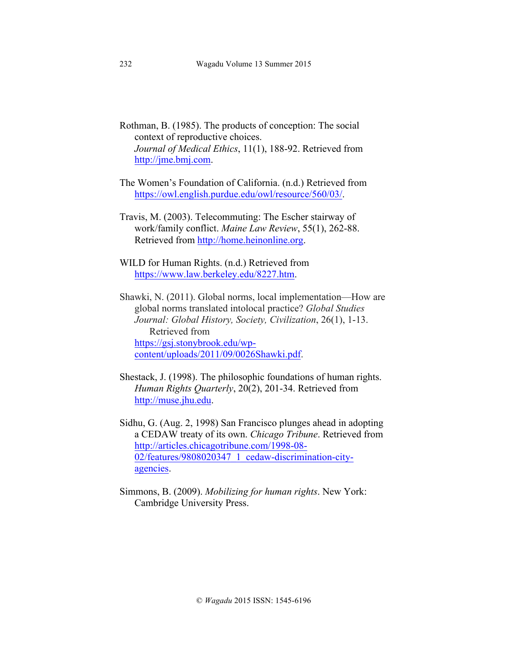- Rothman, B. (1985). The products of conception: The social context of reproductive choices. *Journal of Medical Ethics*, 11(1), 188-92. Retrieved from http://jme.bmj.com.
- The Women's Foundation of California. (n.d.) Retrieved from https://owl.english.purdue.edu/owl/resource/560/03/.
- Travis, M. (2003). Telecommuting: The Escher stairway of work/family conflict. *Maine Law Review*, 55(1), 262-88. Retrieved from http://home.heinonline.org.
- WILD for Human Rights. (n.d.) Retrieved from https://www.law.berkeley.edu/8227.htm.
- Shawki, N. (2011). Global norms, local implementation—How are global norms translated intolocal practice? *Global Studies Journal: Global History, Society, Civilization*, 26(1), 1-13. Retrieved from https://gsj.stonybrook.edu/wpcontent/uploads/2011/09/0026Shawki.pdf.
- Shestack, J. (1998). The philosophic foundations of human rights. *Human Rights Quarterly*, 20(2), 201-34. Retrieved from http://muse.jhu.edu.
- Sidhu, G. (Aug. 2, 1998) San Francisco plunges ahead in adopting a CEDAW treaty of its own. *Chicago Tribune*. Retrieved from http://articles.chicagotribune.com/1998-08- 02/features/9808020347\_1\_cedaw-discrimination-cityagencies.
- Simmons, B. (2009). *Mobilizing for human rights*. New York: Cambridge University Press.